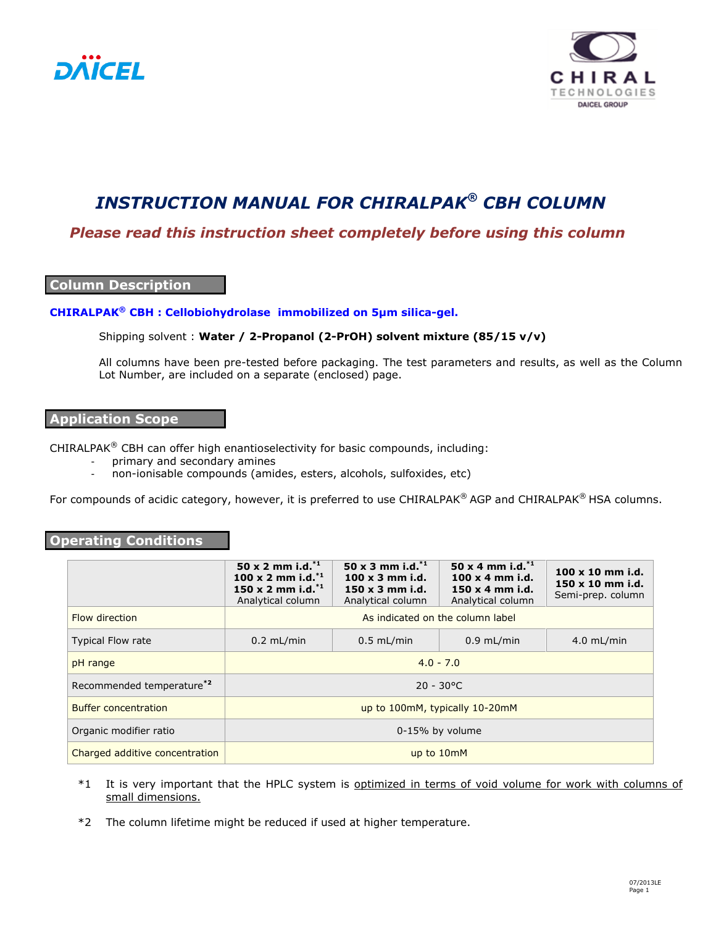



# *INSTRUCTION MANUAL FOR CHIRALPAK® CBH COLUMN*

## *Please read this instruction sheet completely before using this column*

### **Column Description**

#### **CHIRALPAK® CBH : Cellobiohydrolase immobilized on 5µm silica-gel.**

#### Shipping solvent : **Water / 2-Propanol (2-PrOH) solvent mixture (85/15 v/v)**

All columns have been pre-tested before packaging. The test parameters and results, as well as the Column Lot Number, are included on a separate (enclosed) page.

### **Application Scope**

CHIRALPAK<sup>®</sup> CBH can offer high enantioselectivity for basic compounds, including:

- primary and secondary amines
- non-ionisable compounds (amides, esters, alcohols, sulfoxides, etc)

For compounds of acidic category, however, it is preferred to use CHIRALPAK® AGP and CHIRALPAK® HSA columns.

#### **Operating Conditions**

|                                | 50 x 2 mm i.d. $^{*1}$<br>100 x 2 mm i.d. $^{*1}$<br>150 x 2 mm i.d. $^{*1}$<br>Analytical column | 50 x 3 mm i.d. $^{*1}$<br>$100 \times 3$ mm i.d.<br>$150 \times 3$ mm i.d.<br>Analytical column | 50 x 4 mm i.d. $^{*1}$<br>$100 \times 4$ mm i.d.<br>$150 \times 4$ mm i.d.<br>Analytical column | $100 \times 10$ mm i.d.<br>$150 \times 10$ mm i.d.<br>Semi-prep. column |
|--------------------------------|---------------------------------------------------------------------------------------------------|-------------------------------------------------------------------------------------------------|-------------------------------------------------------------------------------------------------|-------------------------------------------------------------------------|
| <b>Flow direction</b>          | As indicated on the column label                                                                  |                                                                                                 |                                                                                                 |                                                                         |
| <b>Typical Flow rate</b>       | $0.2$ mL/min                                                                                      | $0.5$ mL/min                                                                                    | $0.9$ mL/min                                                                                    | $4.0$ mL/min                                                            |
| pH range                       | $4.0 - 7.0$                                                                                       |                                                                                                 |                                                                                                 |                                                                         |
| Recommended temperature*2      | $20 - 30^{\circ}$ C                                                                               |                                                                                                 |                                                                                                 |                                                                         |
| <b>Buffer concentration</b>    | up to 100mM, typically 10-20mM                                                                    |                                                                                                 |                                                                                                 |                                                                         |
| Organic modifier ratio         | 0-15% by volume                                                                                   |                                                                                                 |                                                                                                 |                                                                         |
| Charged additive concentration | up to 10mM                                                                                        |                                                                                                 |                                                                                                 |                                                                         |

- \*1 It is very important that the HPLC system is optimized in terms of void volume for work with columns of small dimensions.
- \*2 The column lifetime might be reduced if used at higher temperature.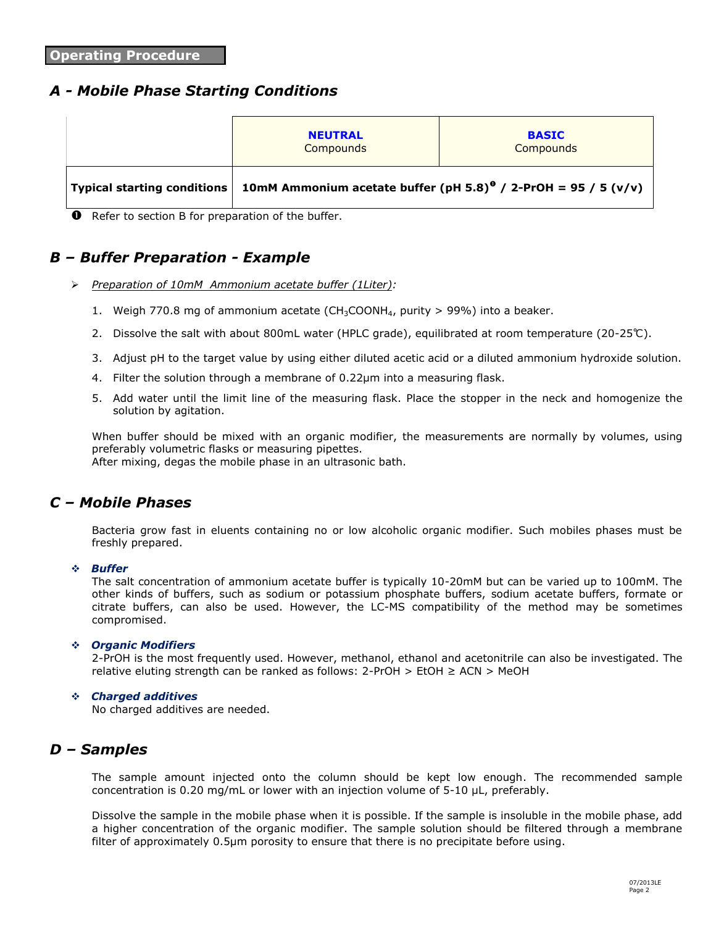# *A - Mobile Phase Starting Conditions*

| <b>NEUTRAL</b><br>Compounds                                                                            | <b>BASIC</b><br>Compounds |  |  |
|--------------------------------------------------------------------------------------------------------|---------------------------|--|--|
| Typical starting conditions 10mM Ammonium acetate buffer (pH 5.8) <sup>o</sup> / 2-PrOH = 95 / 5 (v/v) |                           |  |  |

**O** Refer to section B for preparation of the buffer.

## *B – Buffer Preparation - Example*

- *Preparation of 10mM Ammonium acetate buffer (1Liter):*
	- 1. Weigh 770.8 mg of ammonium acetate (CH<sub>3</sub>COONH<sub>4</sub>, purity  $> 99\%$ ) into a beaker.
	- 2. Dissolve the salt with about 800mL water (HPLC grade), equilibrated at room temperature (20-25℃).
	- 3. Adjust pH to the target value by using either diluted acetic acid or a diluted ammonium hydroxide solution.
	- 4. Filter the solution through a membrane of 0.22µm into a measuring flask.
	- 5. Add water until the limit line of the measuring flask. Place the stopper in the neck and homogenize the solution by agitation.

When buffer should be mixed with an organic modifier, the measurements are normally by volumes, using preferably volumetric flasks or measuring pipettes. After mixing, degas the mobile phase in an ultrasonic bath.

### *C – Mobile Phases*

Bacteria grow fast in eluents containing no or low alcoholic organic modifier. Such mobiles phases must be freshly prepared.

#### *Buffer*

The salt concentration of ammonium acetate buffer is typically 10-20mM but can be varied up to 100mM. The other kinds of buffers, such as sodium or potassium phosphate buffers, sodium acetate buffers, formate or citrate buffers, can also be used. However, the LC-MS compatibility of the method may be sometimes compromised.

#### *Organic Modifiers*

2-PrOH is the most frequently used. However, methanol, ethanol and acetonitrile can also be investigated. The relative eluting strength can be ranked as follows:  $2$ -PrOH > EtOH  $\geq$  ACN > MeOH

#### *Charged additives*

No charged additives are needed.

# *D – Samples*

The sample amount injected onto the column should be kept low enough. The recommended sample concentration is 0.20 mg/mL or lower with an injection volume of 5-10 μL, preferably.

Dissolve the sample in the mobile phase when it is possible. If the sample is insoluble in the mobile phase, add a higher concentration of the organic modifier. The sample solution should be filtered through a membrane filter of approximately 0.5µm porosity to ensure that there is no precipitate before using.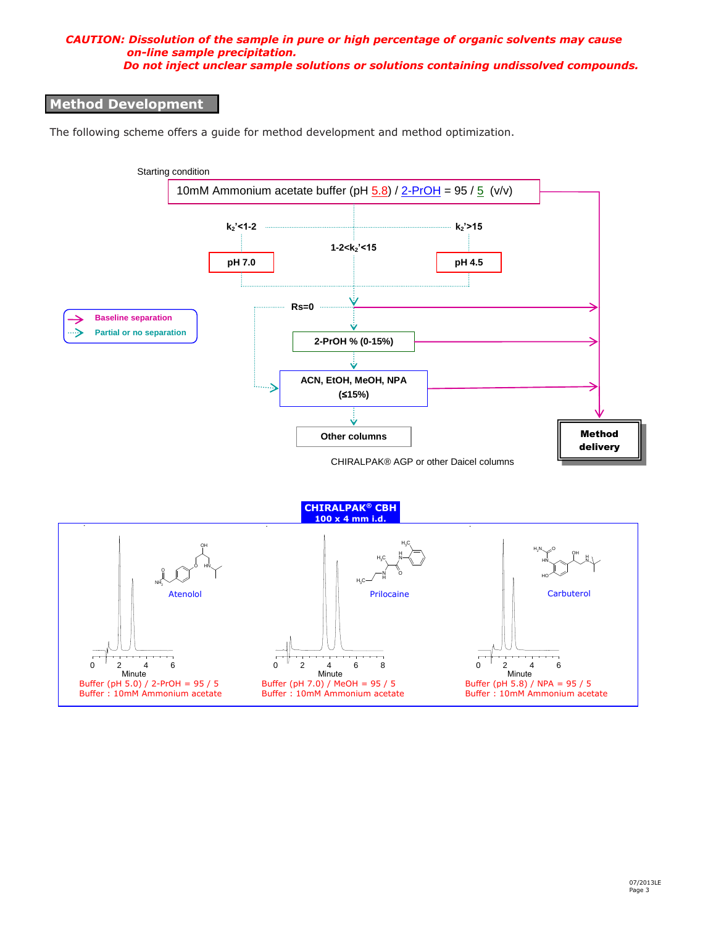#### *CAUTION: Dissolution of the sample in pure or high percentage of organic solvents may cause on-line sample precipitation. Do not inject unclear sample solutions or solutions containing undissolved compounds.*

### **Method Development**

The following scheme offers a guide for method development and method optimization.